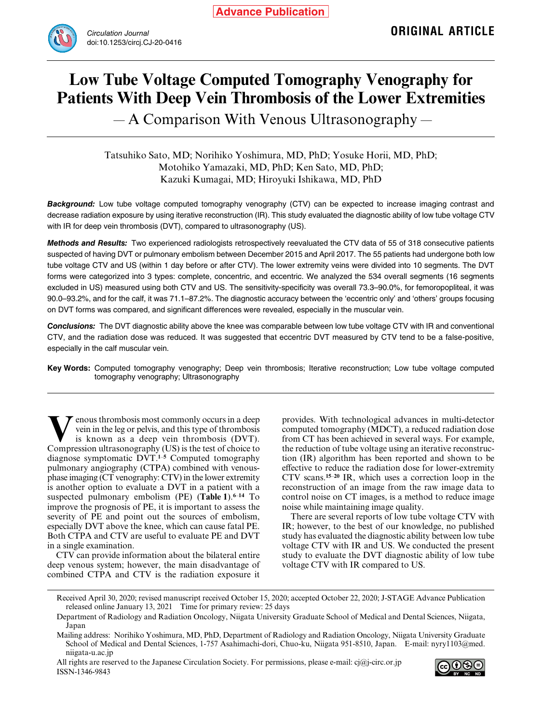

# **Low Tube Voltage Computed Tomography Venography for Patients With Deep Vein Thrombosis of the Lower Extremities**

― A Comparison With Venous Ultrasonography ―

Tatsuhiko Sato, MD; Norihiko Yoshimura, MD, PhD; Yosuke Horii, MD, PhD; Motohiko Yamazaki, MD, PhD; Ken Sato, MD, PhD; Kazuki Kumagai, MD; Hiroyuki Ishikawa, MD, PhD

*Background:* Low tube voltage computed tomography venography (CTV) can be expected to increase imaging contrast and decrease radiation exposure by using iterative reconstruction (IR). This study evaluated the diagnostic ability of low tube voltage CTV with IR for deep vein thrombosis (DVT), compared to ultrasonography (US).

*Methods and Results:* Two experienced radiologists retrospectively reevaluated the CTV data of 55 of 318 consecutive patients suspected of having DVT or pulmonary embolism between December 2015 and April 2017. The 55 patients had undergone both low tube voltage CTV and US (within 1 day before or after CTV). The lower extremity veins were divided into 10 segments. The DVT forms were categorized into 3 types: complete, concentric, and eccentric. We analyzed the 534 overall segments (16 segments excluded in US) measured using both CTV and US. The sensitivity-specificity was overall 73.3–90.0%, for femoropopliteal, it was 90.0–93.2%, and for the calf, it was 71.1–87.2%. The diagnostic accuracy between the 'eccentric only' and 'others' groups focusing on DVT forms was compared, and significant differences were revealed, especially in the muscular vein.

*Conclusions:* The DVT diagnostic ability above the knee was comparable between low tube voltage CTV with IR and conventional CTV, and the radiation dose was reduced. It was suggested that eccentric DVT measured by CTV tend to be a false-positive, especially in the calf muscular vein.

**Key Words:** Computed tomography venography; Deep vein thrombosis; Iterative reconstruction; Low tube voltage computed tomography venography; Ultrasonography

**V**en in the leg or pelvis, and this type of thrombosis<br>is known as a deep vein thrombosis (DVT).<br>Compression ultrasonography (US) is the test of choice to vein in the leg or pelvis, and this type of thrombosis Compression ultrasonography (US) is the test of choice to diagnose symptomatic DVT.**<sup>1</sup>**–**<sup>5</sup>** Computed tomography pulmonary angiography (CTPA) combined with venousphase imaging (CT venography: CTV) in the lower extremity is another option to evaluate a DVT in a patient with a suspected pulmonary embolism (PE) (**Table 1**).**<sup>6</sup>**–**<sup>14</sup>** To improve the prognosis of PE, it is important to assess the severity of PE and point out the sources of embolism, especially DVT above the knee, which can cause fatal PE. Both CTPA and CTV are useful to evaluate PE and DVT in a single examination.

CTV can provide information about the bilateral entire deep venous system; however, the main disadvantage of combined CTPA and CTV is the radiation exposure it provides. With technological advances in multi-detector computed tomography (MDCT), a reduced radiation dose from CT has been achieved in several ways. For example, the reduction of tube voltage using an iterative reconstruction (IR) algorithm has been reported and shown to be effective to reduce the radiation dose for lower-extremity CTV scans.**<sup>15</sup>**–**<sup>20</sup>** IR, which uses a correction loop in the reconstruction of an image from the raw image data to control noise on CT images, is a method to reduce image noise while maintaining image quality.

There are several reports of low tube voltage CTV with IR; however, to the best of our knowledge, no published study has evaluated the diagnostic ability between low tube voltage CTV with IR and US. We conducted the present study to evaluate the DVT diagnostic ability of low tube voltage CTV with IR compared to US.

All rights are reserved to the Japanese Circulation Society. For permissions, please e-mail: cj@j-circ.or.jp ISSN-1346-9843



Received April 30, 2020; revised manuscript received October 15, 2020; accepted October 22, 2020; J-STAGE Advance Publication released online January 13, 2021 Time for primary review: 25 days

Department of Radiology and Radiation Oncology, Niigata University Graduate School of Medical and Dental Sciences, Niigata, Japan

Mailing address: Norihiko Yoshimura, MD, PhD, Department of Radiology and Radiation Oncology, Niigata University Graduate School of Medical and Dental Sciences, 1-757 Asahimachi-dori, Chuo-ku, Niigata 951-8510, Japan. E-mail: nyry1103@med. niigata-u.ac.jp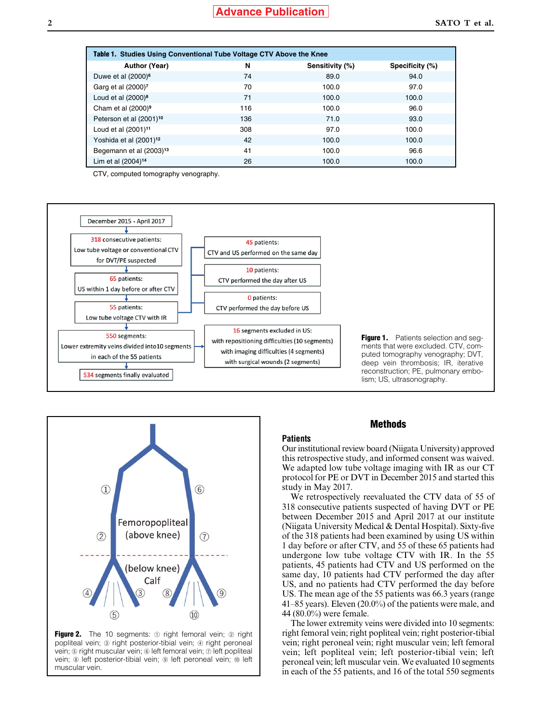| Table 1. Studies Using Conventional Tube Voltage CTV Above the Knee |     |                 |                 |  |  |
|---------------------------------------------------------------------|-----|-----------------|-----------------|--|--|
| Author (Year)                                                       | N   | Sensitivity (%) | Specificity (%) |  |  |
| Duwe et al (2000) <sup>6</sup>                                      | 74  | 89.0            | 94.0            |  |  |
| Garg et al (2000) <sup>7</sup>                                      | 70  | 100.0           | 97.0            |  |  |
| Loud et al $(2000)^8$                                               | 71  | 100.0           | 100.0           |  |  |
| Cham et al $(2000)^9$                                               | 116 | 100.0           | 96.0            |  |  |
| Peterson et al (2001) <sup>10</sup>                                 | 136 | 71.0            | 93.0            |  |  |
| Loud et al (2001) <sup>11</sup>                                     | 308 | 97.0            | 100.0           |  |  |
| Yoshida et al (2001) <sup>12</sup>                                  | 42  | 100.0           | 100.0           |  |  |
| Begemann et al (2003) <sup>13</sup>                                 | 41  | 100.0           | 96.6            |  |  |
| Lim et al $(2004)^{14}$                                             | 26  | 100.0           | 100.0           |  |  |

CTV, computed tomography venography.





**Figure 2.** The 10 segments:  $\odot$  right femoral vein;  $\oslash$  right popliteal vein; ③ right posterior-tibial vein; ④ right peroneal vein; **©** right muscular vein; **©** left femoral vein;  $\oslash$  left popliteal vein; ⑧ left posterior-tibial vein; ⑨ left peroneal vein; ⑩ left muscular vein.

#### **Methods**

**Patients** Our institutional review board (Niigata University) approved

this retrospective study, and informed consent was waived. We adapted low tube voltage imaging with IR as our CT protocol for PE or DVT in December 2015 and started this study in May 2017.

We retrospectively reevaluated the CTV data of 55 of 318 consecutive patients suspected of having DVT or PE between December 2015 and April 2017 at our institute (Niigata University Medical & Dental Hospital). Sixty-five of the 318 patients had been examined by using US within 1 day before or after CTV, and 55 of these 65 patients had undergone low tube voltage CTV with IR. In the 55 patients, 45 patients had CTV and US performed on the same day, 10 patients had CTV performed the day after US, and no patients had CTV performed the day before US. The mean age of the 55 patients was 66.3 years (range 41–85 years). Eleven (20.0%) of the patients were male, and 44 (80.0%) were female.

The lower extremity veins were divided into 10 segments: right femoral vein; right popliteal vein; right posterior-tibial vein; right peroneal vein; right muscular vein; left femoral vein; left popliteal vein; left posterior-tibial vein; left peroneal vein; left muscular vein. We evaluated 10 segments in each of the 55 patients, and 16 of the total 550 segments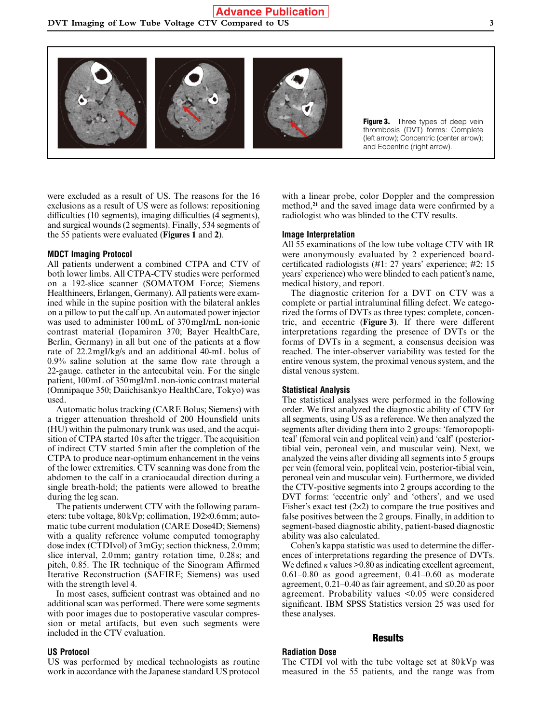

Figure 3. Three types of deep vein thrombosis (DVT) forms: Complete (left arrow); Concentric (center arrow); and Eccentric (right arrow).

were excluded as a result of US. The reasons for the 16 exclusions as a result of US were as follows: repositioning difficulties (10 segments), imaging difficulties (4 segments), and surgical wounds (2 segments). Finally, 534 segments of the 55 patients were evaluated (**Figures 1** and **2**).

## **MDCT Imaging Protocol**

All patients underwent a combined CTPA and CTV of both lower limbs. All CTPA-CTV studies were performed on a 192-slice scanner (SOMATOM Force; Siemens Healthineers, Erlangen, Germany). All patients were examined while in the supine position with the bilateral ankles on a pillow to put the calf up. An automated power injector was used to administer 100mL of 370mgI/mL non-ionic contrast material (Iopamiron 370; Bayer HealthCare, Berlin, Germany) in all but one of the patients at a flow rate of 22.2mgI/kg/s and an additional 40-mL bolus of 0.9% saline solution at the same flow rate through a 22-gauge. catheter in the antecubital vein. For the single patient, 100mL of 350mgI/mL non-ionic contrast material (Omnipaque 350; Daiichisankyo HealthCare, Tokyo) was used.

Automatic bolus tracking (CARE Bolus; Siemens) with a trigger attenuation threshold of 200 Hounsfield units (HU) within the pulmonary trunk was used, and the acquisition of CTPA started 10s after the trigger. The acquisition of indirect CTV started 5min after the completion of the CTPA to produce near-optimum enhancement in the veins of the lower extremities. CTV scanning was done from the abdomen to the calf in a craniocaudal direction during a single breath-hold; the patients were allowed to breathe during the leg scan.

The patients underwent CTV with the following parameters: tube voltage, 80kVp; collimation, 192×0.6mm; automatic tube current modulation (CARE Dose4D; Siemens) with a quality reference volume computed tomography dose index (CTDIvol) of 3mGy; section thickness, 2.0mm; slice interval, 2.0mm; gantry rotation time, 0.28s; and pitch, 0.85. The IR technique of the Sinogram Affirmed Iterative Reconstruction (SAFIRE; Siemens) was used with the strength level 4.

In most cases, sufficient contrast was obtained and no additional scan was performed. There were some segments with poor images due to postoperative vascular compression or metal artifacts, but even such segments were included in the CTV evaluation.

#### **US Protocol**

US was performed by medical technologists as routine work in accordance with the Japanese standard US protocol with a linear probe, color Doppler and the compression method,**<sup>21</sup>** and the saved image data were confirmed by a radiologist who was blinded to the CTV results.

#### **Image Interpretation**

All 55 examinations of the low tube voltage CTV with IR were anonymously evaluated by 2 experienced boardcertificated radiologists (#1: 27 years' experience; #2: 15 years' experience) who were blinded to each patient's name, medical history, and report.

The diagnostic criterion for a DVT on CTV was a complete or partial intraluminal filling defect. We categorized the forms of DVTs as three types: complete, concentric, and eccentric (**Figure 3**). If there were different interpretations regarding the presence of DVTs or the forms of DVTs in a segment, a consensus decision was reached. The inter-observer variability was tested for the entire venous system, the proximal venous system, and the distal venous system.

#### **Statistical Analysis**

The statistical analyses were performed in the following order. We first analyzed the diagnostic ability of CTV for all segments, using US as a reference. We then analyzed the segments after dividing them into 2 groups: 'femoropopliteal' (femoral vein and popliteal vein) and 'calf' (posteriortibial vein, peroneal vein, and muscular vein). Next, we analyzed the veins after dividing all segments into 5 groups per vein (femoral vein, popliteal vein, posterior-tibial vein, peroneal vein and muscular vein). Furthermore, we divided the CTV-positive segments into 2 groups according to the DVT forms: 'eccentric only' and 'others', and we used Fisher's exact test  $(2\times 2)$  to compare the true positives and false positives between the 2 groups. Finally, in addition to segment-based diagnostic ability, patient-based diagnostic ability was also calculated.

Cohen's kappa statistic was used to determine the differences of interpretations regarding the presence of DVTs. We defined  $\kappa$  values  $> 0.80$  as indicating excellent agreement, 0.61–0.80 as good agreement, 0.41–0.60 as moderate agreement, 0.21–0.40 as fair agreement, and ≤0.20 as poor agreement. Probability values <0.05 were considered significant. IBM SPSS Statistics version 25 was used for these analyses.

## **Results**

## **Radiation Dose**

The CTDI vol with the tube voltage set at 80kVp was measured in the 55 patients, and the range was from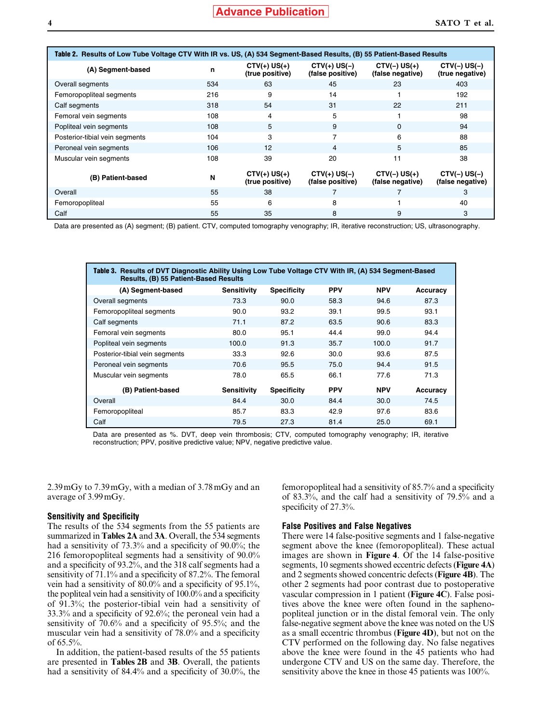| Table 2. Results of Low Tube Voltage CTV With IR vs. US, (A) 534 Segment-Based Results, (B) 55 Patient-Based Results |     |                                   |                                    |                                    |                                    |
|----------------------------------------------------------------------------------------------------------------------|-----|-----------------------------------|------------------------------------|------------------------------------|------------------------------------|
| (A) Segment-based                                                                                                    | n   | $CYV(+) US(+)$<br>(true positive) | $CYV(+) US(-)$<br>(false positive) | $CTV(-) US(+)$<br>(false negative) | $CTV(-) US(-)$<br>(true negative)  |
| Overall segments                                                                                                     | 534 | 63                                | 45                                 | 23                                 | 403                                |
| Femoropopliteal segments                                                                                             | 216 | 9                                 | 14                                 |                                    | 192                                |
| Calf segments                                                                                                        | 318 | 54                                | 31                                 | 22                                 | 211                                |
| Femoral vein segments                                                                                                | 108 | 4                                 | 5                                  |                                    | 98                                 |
| Popliteal vein segments                                                                                              | 108 | 5                                 | 9                                  | $\Omega$                           | 94                                 |
| Posterior-tibial vein segments                                                                                       | 104 | 3                                 | 7                                  | 6                                  | 88                                 |
| Peroneal vein segments                                                                                               | 106 | 12                                | 4                                  | 5                                  | 85                                 |
| Muscular vein segments                                                                                               | 108 | 39                                | 20                                 | 11                                 | 38                                 |
| (B) Patient-based                                                                                                    | N   | $CYV(+) US(+)$<br>(true positive) | $CYV(+) US(-)$<br>(false positive) | $CYV(-) US(+)$<br>(false negative) | $CTV(-) US(-)$<br>(false negative) |
| Overall                                                                                                              | 55  | 38                                |                                    |                                    | 3                                  |
| Femoropopliteal                                                                                                      | 55  | 6                                 | 8                                  |                                    | 40                                 |
| Calf                                                                                                                 | 55  | 35                                | 8                                  | 9                                  | 3                                  |

Data are presented as (A) segment; (B) patient. CTV, computed tomography venography; IR, iterative reconstruction; US, ultrasonography.

| Table 3. Results of DVT Diagnostic Ability Using Low Tube Voltage CTV With IR, (A) 534 Segment-Based<br>Results, (B) 55 Patient-Based Results |             |                    |            |            |          |
|-----------------------------------------------------------------------------------------------------------------------------------------------|-------------|--------------------|------------|------------|----------|
| (A) Segment-based                                                                                                                             | Sensitivity | <b>Specificity</b> | <b>PPV</b> | <b>NPV</b> | Accuracy |
| Overall segments                                                                                                                              | 73.3        | 90.0               | 58.3       | 94.6       | 87.3     |
| Femoropopliteal segments                                                                                                                      | 90.0        | 93.2               | 39.1       | 99.5       | 93.1     |
| Calf segments                                                                                                                                 | 71.1        | 87.2               | 63.5       | 90.6       | 83.3     |
| Femoral vein segments                                                                                                                         | 80.0        | 95.1               | 44.4       | 99.0       | 94.4     |
| Popliteal vein segments                                                                                                                       | 100.0       | 91.3               | 35.7       | 100.0      | 91.7     |
| Posterior-tibial vein segments                                                                                                                | 33.3        | 92.6               | 30.0       | 93.6       | 87.5     |
| Peroneal vein segments                                                                                                                        | 70.6        | 95.5               | 75.0       | 94.4       | 91.5     |
| Muscular vein segments                                                                                                                        | 78.0        | 65.5               | 66.1       | 77.6       | 71.3     |
| (B) Patient-based                                                                                                                             | Sensitivity | <b>Specificity</b> | <b>PPV</b> | <b>NPV</b> | Accuracy |
| Overall                                                                                                                                       | 84.4        | 30.0               | 84.4       | 30.0       | 74.5     |
| Femoropopliteal                                                                                                                               | 85.7        | 83.3               | 42.9       | 97.6       | 83.6     |
| Calf                                                                                                                                          | 79.5        | 27.3               | 81.4       | 25.0       | 69.1     |

Data are presented as %. DVT, deep vein thrombosis; CTV, computed tomography venography; IR, iterative reconstruction; PPV, positive predictive value; NPV, negative predictive value.

2.39mGy to 7.39mGy, with a median of 3.78mGy and an average of 3.99mGy.

#### **Sensitivity and Specificity**

The results of the 534 segments from the 55 patients are summarized in **Tables 2A** and **3A**. Overall, the 534 segments had a sensitivity of 73.3% and a specificity of 90.0%; the 216 femoropopliteal segments had a sensitivity of 90.0% and a specificity of 93.2%, and the 318 calf segments had a sensitivity of 71.1% and a specificity of 87.2%. The femoral vein had a sensitivity of 80.0% and a specificity of 95.1%, the popliteal vein had a sensitivity of 100.0% and a specificity of 91.3%; the posterior-tibial vein had a sensitivity of 33.3% and a specificity of 92.6%; the peroneal vein had a sensitivity of 70.6% and a specificity of 95.5%; and the muscular vein had a sensitivity of 78.0% and a specificity of 65.5%.

In addition, the patient-based results of the 55 patients are presented in **Tables 2B** and **3B**. Overall, the patients had a sensitivity of 84.4% and a specificity of 30.0%, the femoropopliteal had a sensitivity of 85.7% and a specificity of 83.3%, and the calf had a sensitivity of 79.5% and a specificity of 27.3%.

#### **False Positives and False Negatives**

There were 14 false-positive segments and 1 false-negative segment above the knee (femoropopliteal). These actual images are shown in **Figure 4**. Of the 14 false-positive segments, 10 segments showed eccentric defects (**Figure 4A**) and 2 segments showed concentric defects (**Figure 4B**). The other 2 segments had poor contrast due to postoperative vascular compression in 1 patient (**Figure 4C**). False positives above the knee were often found in the saphenopopliteal junction or in the distal femoral vein. The only false-negative segment above the knee was noted on the US as a small eccentric thrombus (**Figure 4D**), but not on the CTV performed on the following day. No false negatives above the knee were found in the 45 patients who had undergone CTV and US on the same day. Therefore, the sensitivity above the knee in those 45 patients was 100%.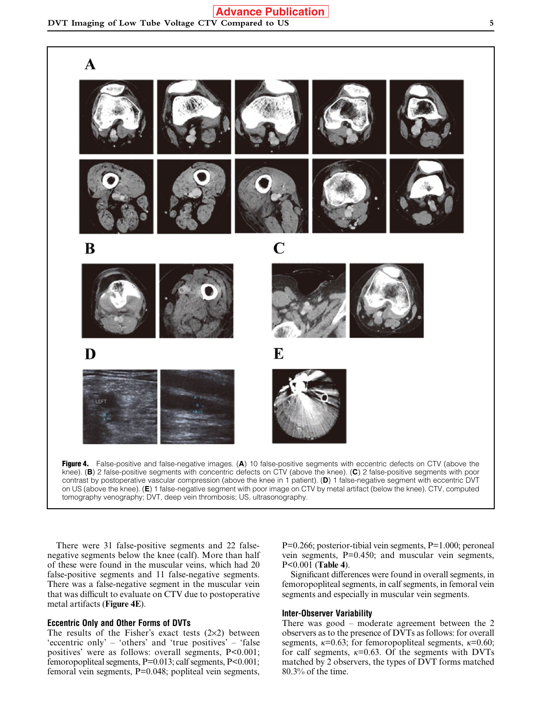

contrast by postoperative vascular compression (above the knee in 1 patient). (**D**) 1 false-negative segment with eccentric DVT on US (above the knee). (**E**) 1 false-negative segment with poor image on CTV by metal artifact (below the knee). CTV, computed tomography venography; DVT, deep vein thrombosis; US, ultrasonography.

There were 31 false-positive segments and 22 falsenegative segments below the knee (calf). More than half of these were found in the muscular veins, which had 20 false-positive segments and 11 false-negative segments. There was a false-negative segment in the muscular vein that was difficult to evaluate on CTV due to postoperative metal artifacts (**Figure 4E**).

#### **Eccentric Only and Other Forms of DVTs**

The results of the Fisher's exact tests  $(2\times2)$  between 'eccentric only' – 'others' and 'true positives' – 'false positives' were as follows: overall segments, P<0.001; femoropopliteal segments, P=0.013; calf segments, P<0.001; femoral vein segments, P=0.048; popliteal vein segments, P=0.266; posterior-tibial vein segments, P=1.000; peroneal vein segments, P=0.450; and muscular vein segments, P<0.001 (**Table 4**).

Significant differences were found in overall segments, in femoropopliteal segments, in calf segments, in femoral vein segments and especially in muscular vein segments.

### **Inter-Observer Variability**

There was good – moderate agreement between the 2 observers as to the presence of DVTs as follows: for overall segments,  $\kappa$ =0.63; for femoropopliteal segments,  $\kappa$ =0.60; for calf segments,  $\kappa$ =0.63. Of the segments with DVTs matched by 2 observers, the types of DVT forms matched 80.3% of the time.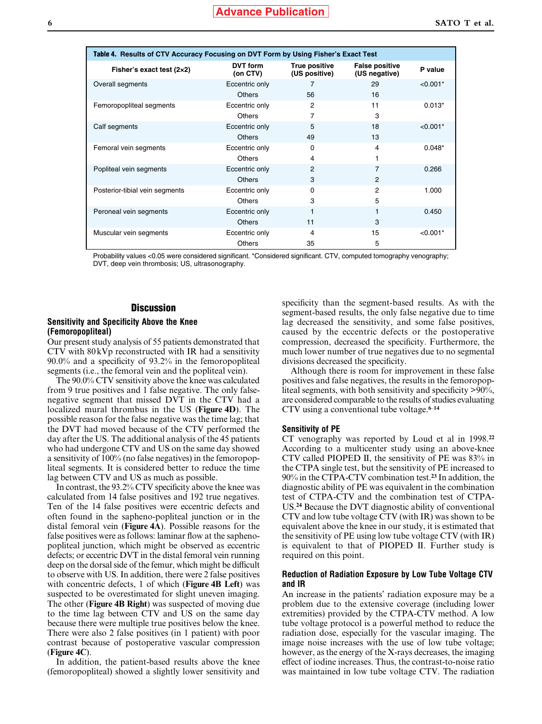| Table 4. Results of CTV Accuracy Focusing on DVT Form by Using Fisher's Exact Test |                      |                                |                                        |            |  |
|------------------------------------------------------------------------------------|----------------------|--------------------------------|----------------------------------------|------------|--|
| Fisher's exact test $(2\times2)$                                                   | DVT form<br>(on CTV) | True positive<br>(US positive) | <b>False positive</b><br>(US negative) | P value    |  |
| Overall segments                                                                   | Eccentric only       | 7                              | 29                                     | $< 0.001*$ |  |
|                                                                                    | <b>Others</b>        | 56                             | 16                                     |            |  |
| Femoropopliteal segments                                                           | Eccentric only       | 2                              | 11                                     | $0.013*$   |  |
|                                                                                    | <b>Others</b>        | 7                              | 3                                      |            |  |
| Calf segments                                                                      | Eccentric only       | 5                              | 18                                     | $< 0.001*$ |  |
|                                                                                    | <b>Others</b>        | 49                             | 13                                     |            |  |
| Femoral vein segments                                                              | Eccentric only       | $\Omega$                       | 4                                      | $0.048*$   |  |
|                                                                                    | <b>Others</b>        | 4                              |                                        |            |  |
| Popliteal vein segments                                                            | Eccentric only       | 2                              | 7                                      | 0.266      |  |
|                                                                                    | <b>Others</b>        | 3                              | 2                                      |            |  |
| Posterior-tibial vein segments                                                     | Eccentric only       | $\Omega$                       | 2                                      | 1.000      |  |
|                                                                                    | <b>Others</b>        | 3                              | 5                                      |            |  |
| Peroneal vein segments                                                             | Eccentric only       | 1                              |                                        | 0.450      |  |
|                                                                                    | <b>Others</b>        | 11                             | 3                                      |            |  |
| Muscular vein segments                                                             | Eccentric only       | 4                              | 15                                     | $< 0.001*$ |  |
|                                                                                    | <b>Others</b>        | 35                             | 5                                      |            |  |

Probability values <0.05 were considered significant. \*Considered significant. CTV, computed tomography venography; DVT, deep vein thrombosis; US, ultrasonography.

#### **Discussion**

#### **Sensitivity and Specificity Above the Knee (Femoropopliteal)**

Our present study analysis of 55 patients demonstrated that CTV with 80kVp reconstructed with IR had a sensitivity 90.0% and a specificity of 93.2% in the femoropopliteal segments (i.e., the femoral vein and the popliteal vein).

The 90.0% CTV sensitivity above the knee was calculated from 9 true positives and 1 false negative. The only falsenegative segment that missed DVT in the CTV had a localized mural thrombus in the US (**Figure 4D**). The possible reason for the false negative was the time lag; that the DVT had moved because of the CTV performed the day after the US. The additional analysis of the 45 patients who had undergone CTV and US on the same day showed a sensitivity of 100% (no false negatives) in the femoropopliteal segments. It is considered better to reduce the time lag between CTV and US as much as possible.

In contrast, the 93.2% CTV specificity above the knee was calculated from 14 false positives and 192 true negatives. Ten of the 14 false positives were eccentric defects and often found in the sapheno-popliteal junction or in the distal femoral vein (**Figure 4A**). Possible reasons for the false positives were as follows: laminar flow at the saphenopopliteal junction, which might be observed as eccentric defects; or eccentric DVT in the distal femoral vein running deep on the dorsal side of the femur, which might be difficult to observe with US. In addition, there were 2 false positives with concentric defects, 1 of which (**Figure 4B Left**) was suspected to be overestimated for slight uneven imaging. The other (**Figure 4B Right**) was suspected of moving due to the time lag between CTV and US on the same day because there were multiple true positives below the knee. There were also 2 false positives (in 1 patient) with poor contrast because of postoperative vascular compression (**Figure 4C**).

In addition, the patient-based results above the knee (femoropopliteal) showed a slightly lower sensitivity and specificity than the segment-based results. As with the segment-based results, the only false negative due to time lag decreased the sensitivity, and some false positives, caused by the eccentric defects or the postoperative compression, decreased the specificity. Furthermore, the much lower number of true negatives due to no segmental divisions decreased the specificity.

Although there is room for improvement in these false positives and false negatives, the results in the femoropopliteal segments, with both sensitivity and specificity >90%, are considered comparable to the results of studies evaluating CTV using a conventional tube voltage.**<sup>6</sup>**–**<sup>14</sup>**

#### **Sensitivity of PE**

CT venography was reported by Loud et al in 1998.**<sup>22</sup>** According to a multicenter study using an above-knee CTV called PIOPED II, the sensitivity of PE was 83% in the CTPA single test, but the sensitivity of PE increased to 90% in the CTPA-CTV combination test.**<sup>23</sup>** In addition, the diagnostic ability of PE was equivalent in the combination test of CTPA-CTV and the combination test of CTPA-US.**<sup>24</sup>** Because the DVT diagnostic ability of conventional CTV and low tube voltage CTV (with IR) was shown to be equivalent above the knee in our study, it is estimated that the sensitivity of PE using low tube voltage CTV (with IR) is equivalent to that of PIOPED II. Further study is required on this point.

#### **Reduction of Radiation Exposure by Low Tube Voltage CTV and IR**

An increase in the patients' radiation exposure may be a problem due to the extensive coverage (including lower extremities) provided by the CTPA-CTV method. A low tube voltage protocol is a powerful method to reduce the radiation dose, especially for the vascular imaging. The image noise increases with the use of low tube voltage; however, as the energy of the X-rays decreases, the imaging effect of iodine increases. Thus, the contrast-to-noise ratio was maintained in low tube voltage CTV. The radiation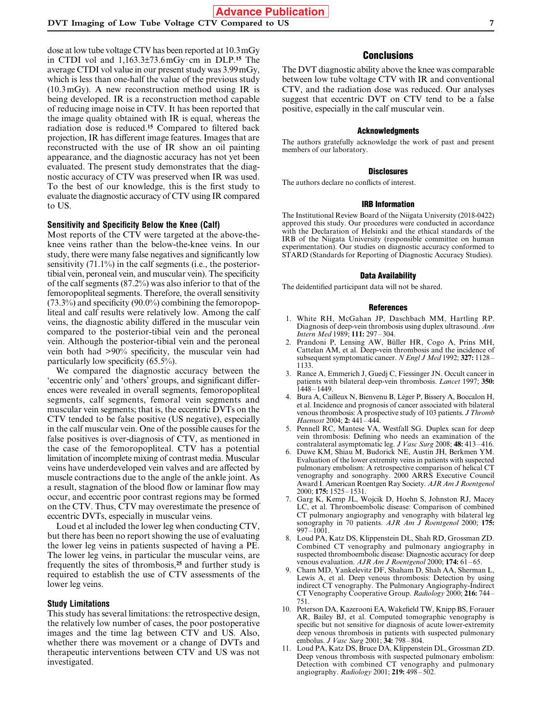dose at low tube voltage CTV has been reported at 10.3mGy in CTDI vol and 1,163.3±73.6mGy· cm in DLP.**<sup>15</sup>** The average CTDI vol value in our present study was 3.99mGy, which is less than one-half the value of the previous study (10.3mGy). A new reconstruction method using IR is being developed. IR is a reconstruction method capable of reducing image noise in CTV. It has been reported that the image quality obtained with IR is equal, whereas the radiation dose is reduced.**<sup>15</sup>** Compared to filtered back projection, IR has different image features. Images that are reconstructed with the use of IR show an oil painting appearance, and the diagnostic accuracy has not yet been evaluated. The present study demonstrates that the diagnostic accuracy of CTV was preserved when IR was used. To the best of our knowledge, this is the first study to evaluate the diagnostic accuracy of CTV using IR compared to US.

#### **Sensitivity and Specificity Below the Knee (Calf)**

Most reports of the CTV were targeted at the above-theknee veins rather than the below-the-knee veins. In our study, there were many false negatives and significantly low sensitivity (71.1%) in the calf segments (i.e., the posteriortibial vein, peroneal vein, and muscular vein). The specificity of the calf segments (87.2%) was also inferior to that of the femoropopliteal segments. Therefore, the overall sensitivity (73.3%) and specificity (90.0%) combining the femoropopliteal and calf results were relatively low. Among the calf veins, the diagnostic ability differed in the muscular vein compared to the posterior-tibial vein and the peroneal vein. Although the posterior-tibial vein and the peroneal vein both had >90% specificity, the muscular vein had particularly low specificity (65.5%).

We compared the diagnostic accuracy between the 'eccentric only' and 'others' groups, and significant differences were revealed in overall segments, femoropopliteal segments, calf segments, femoral vein segments and muscular vein segments; that is, the eccentric DVTs on the CTV tended to be false positive (US negative), especially in the calf muscular vein. One of the possible causes for the false positives is over-diagnosis of CTV, as mentioned in the case of the femoropopliteal. CTV has a potential limitation of incomplete mixing of contrast media. Muscular veins have underdeveloped vein valves and are affected by muscle contractions due to the angle of the ankle joint. As a result, stagnation of the blood flow or laminar flow may occur, and eccentric poor contrast regions may be formed on the CTV. Thus, CTV may overestimate the presence of eccentric DVTs, especially in muscular veins.

Loud et al included the lower leg when conducting CTV, but there has been no report showing the use of evaluating the lower leg veins in patients suspected of having a PE. The lower leg veins, in particular the muscular veins, are frequently the sites of thrombosis,**<sup>25</sup>** and further study is required to establish the use of CTV assessments of the lower leg veins.

#### **Study Limitations**

This study has several limitations: the retrospective design, the relatively low number of cases, the poor postoperative images and the time lag between CTV and US. Also, whether there was movement or a change of DVTs and therapeutic interventions between CTV and US was not investigated.

## **Conclusions**

The DVT diagnostic ability above the knee was comparable between low tube voltage CTV with IR and conventional CTV, and the radiation dose was reduced. Our analyses suggest that eccentric DVT on CTV tend to be a false positive, especially in the calf muscular vein.

#### Acknowledgments

The authors gratefully acknowledge the work of past and present members of our laboratory.

#### **Disclosures**

The authors declare no conflicts of interest.

#### IRB Information

The Institutional Review Board of the Niigata University (2018-0422) approved this study. Our procedures were conducted in accordance with the Declaration of Helsinki and the ethical standards of the IRB of the Niigata University (responsible committee on human experimentation). Our studies on diagnostic accuracy conformed to STARD (Standards for Reporting of Diagnostic Accuracy Studies).

#### Data Availability

The deidentified participant data will not be shared.

#### References

- 1. White RH, McGahan JP, Daschbach MM, Hartling RP. Diagnosis of deep-vein thrombosis using duplex ultrasound. *Ann Intern Med* 1989; **111:** 297–304.
- Prandoni P, Lensing AW, Büller HR, Cogo A, Prins MH, Cattelan AM, et al. Deep-vein thrombosis and the incidence of subsequent symptomatic cancer. *N Engl J Med* 1992; **327:** 1128– 1133.
- 3. Rance A, Emmerich J, Guedj C, Fiessinger JN. Occult cancer in patients with bilateral deep-vein thrombosis. *Lancet* 1997; **350:**  $1448 - 1449$
- 4. Bura A, Cailleux N, Bienvenu B, Léger P, Bissery A, Boccalon H, et al. Incidence and prognosis of cancer associated with bilateral venous thrombosis: A prospective study of 103 patients. *J Thromb Haemost* 2004; **2:** 441–444.
- 5. Pennell RC, Mantese VA, Westfall SG. Duplex scan for deep vein thrombosis: Defining who needs an examination of the contralateral asymptomatic leg. *J Vasc Surg* 2008; **48:** 413–416.
- 6. Duwe KM, Shiau M, Budorick NE, Austin JH, Berkmen YM. Evaluation of the lower extremity veins in patients with suspected pulmonary embolism: A retrospective comparison of helical CT venography and sonography. 2000 ARRS Executive Council Award I. American Roentgen Ray Society. *AJR Am J Roentgenol* 2000; **175:** 1525–1531.
- 7. Garg K, Kemp JL, Wojcik D, Hoehn S, Johnston RJ, Macey LC, et al. Thromboembolic disease: Comparison of combined CT pulmonary angiography and venography with bilateral leg sonography in 70 patients. *AJR Am J Roentgenol* 2000; **175:** 997–1001.
- 8. Loud PA, Katz DS, Klippenstein DL, Shah RD, Grossman ZD. Combined CT venography and pulmonary angiography in suspected thromboembolic disease: Diagnostic accuracy for deep venous evaluation. *AJR Am J Roentgenol* 2000; **174:** 61–65.
- 9. Cham MD, Yankelevitz DF, Shaham D, Shah AA, Sherman L, Lewis A, et al. Deep venous thrombosis: Detection by using indirect CT venography. The Pulmonary Angiography-Indirect CT Venography Cooperative Group. *Radiology* 2000; **216:** 744– 751.
- 10. Peterson DA, Kazerooni EA, Wakefield TW, Knipp BS, Forauer AR, Bailey BJ, et al. Computed tomographic venography is specific but not sensitive for diagnosis of acute lower-extremity deep venous thrombosis in patients with suspected pulmonary embolus. *J Vasc Surg* 2001; **34:** 798–804.
- 11. Loud PA, Katz DS, Bruce DA, Klippenstein DL, Grossman ZD. Deep venous thrombosis with suspected pulmonary embolism: Detection with combined CT venography and pulmonary angiography. *Radiology* 2001; **219:** 498–502.